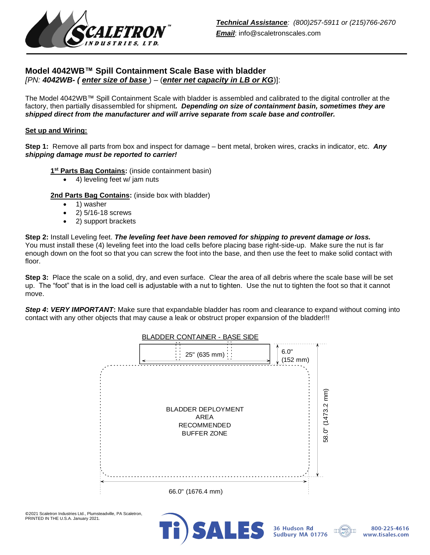

# **Model 4042WB™ Spill Containment Scale Base with bladder** *[PN: 4042WB- ( enter size of base* ) – (*enter net capacity in LB or KG*)]:

The Model 4042WB™ Spill Containment Scale with bladder is assembled and calibrated to the digital controller at the factory, then partially disassembled for shipment*. Depending on size of containment basin, sometimes they are shipped direct from the manufacturer and will arrive separate from scale base and controller.*

### **Set up and Wiring:**

**Step 1:** Remove all parts from box and inspect for damage – bent metal, broken wires, cracks in indicator, etc. *Any shipping damage must be reported to carrier!*

**1 st Parts Bag Contains:** (inside containment basin)

• 4) leveling feet w/ jam nuts

2nd Parts Bag Contains: (inside box with bladder)

- 1) washer
- 2) 5/16-18 screws
- 2) support brackets

**Step 2:** Install Leveling feet. *The leveling feet have been removed for shipping to prevent damage or loss.*  You must install these (4) leveling feet into the load cells before placing base right-side-up. Make sure the nut is far enough down on the foot so that you can screw the foot into the base, and then use the feet to make solid contact with floor.

**Step 3:** Place the scale on a solid, dry, and even surface. Clear the area of all debris where the scale base will be set up. The "foot" that is in the load cell is adjustable with a nut to tighten. Use the nut to tighten the foot so that it cannot move.

*Step 4***:** *VERY IMPORTANT***:** Make sure that expandable bladder has room and clearance to expand without coming into contact with any other objects that may cause a leak or obstruct proper expansion of the bladder!!!